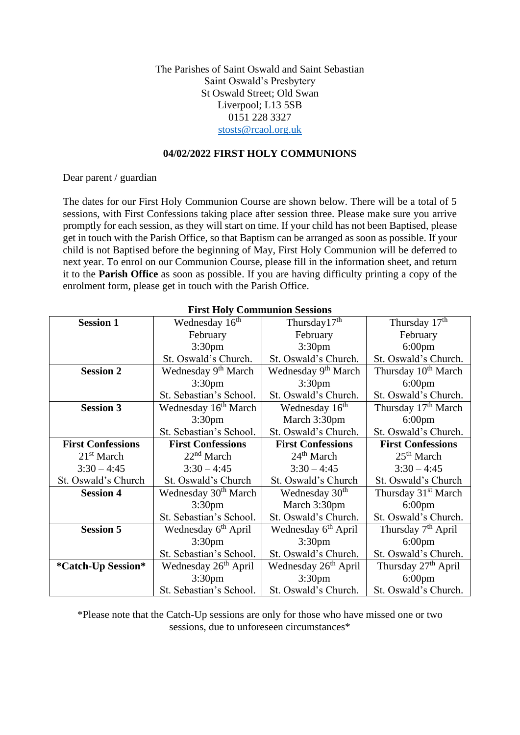The Parishes of Saint Oswald and Saint Sebastian Saint Oswald's Presbytery St Oswald Street; Old Swan Liverpool; L13 5SB 0151 228 3327 [stosts@rcaol.org.uk](mailto:stosts@rcaol.org.uk)

#### **04/02/2022 FIRST HOLY COMMUNIONS**

Dear parent / guardian

The dates for our First Holy Communion Course are shown below. There will be a total of 5 sessions, with First Confessions taking place after session three. Please make sure you arrive promptly for each session, as they will start on time. If your child has not been Baptised, please get in touch with the Parish Office, so that Baptism can be arranged as soon as possible. If your child is not Baptised before the beginning of May, First Holy Communion will be deferred to next year. To enrol on our Communion Course, please fill in the information sheet, and return it to the **Parish Office** as soon as possible. If you are having difficulty printing a copy of the enrolment form, please get in touch with the Parish Office.

| <b>Session 1</b>                                       | Wednesday 16 <sup>th</sup>       | Thursday17 <sup>th</sup>         | Thursday 17 <sup>th</sup>       |
|--------------------------------------------------------|----------------------------------|----------------------------------|---------------------------------|
|                                                        | February                         | February                         | February                        |
|                                                        | 3:30 <sub>pm</sub>               | 3:30 <sub>pm</sub>               | $6:00$ pm                       |
|                                                        | St. Oswald's Church.             | St. Oswald's Church.             | St. Oswald's Church.            |
| <b>Session 2</b>                                       | Wednesday 9 <sup>th</sup> March  | Wednesday 9 <sup>th</sup> March  | Thursday 10 <sup>th</sup> March |
|                                                        | 3:30 <sub>pm</sub>               | 3:30 <sub>pm</sub>               | $6:00$ pm                       |
|                                                        | St. Sebastian's School.          | St. Oswald's Church.             | St. Oswald's Church.            |
| <b>Session 3</b>                                       | Wednesday 16 <sup>th</sup> March | Wednesday 16 <sup>th</sup>       | Thursday 17 <sup>th</sup> March |
|                                                        | 3:30 <sub>pm</sub>               | March 3:30pm                     | $6:00$ pm                       |
|                                                        | St. Sebastian's School.          | St. Oswald's Church.             | St. Oswald's Church.            |
| <b>First Confessions</b>                               | <b>First Confessions</b>         | <b>First Confessions</b>         | <b>First Confessions</b>        |
| 21 <sup>st</sup> March                                 | 22 <sup>nd</sup> March           | 24 <sup>th</sup> March           | 25 <sup>th</sup> March          |
| $3:30 - 4:45$                                          | $3:30 - 4:45$                    | $3:30 - 4:45$                    | $3:30 - 4:45$                   |
| St. Oswald's Church                                    | St. Oswald's Church              | St. Oswald's Church              | St. Oswald's Church             |
| <b>Session 4</b>                                       | Wednesday 30 <sup>th</sup> March | Wednesday 30 <sup>th</sup>       | Thursday 31 <sup>st</sup> March |
|                                                        | 3:30 <sub>pm</sub>               | March 3:30pm                     | $6:00$ pm                       |
|                                                        | St. Sebastian's School.          | St. Oswald's Church.             | St. Oswald's Church.            |
| <b>Session 5</b>                                       | Wednesday 6 <sup>th</sup> April  | Wednesday 6 <sup>th</sup> April  | Thursday 7 <sup>th</sup> April  |
|                                                        | 3:30 <sub>pm</sub>               | 3:30 <sub>pm</sub>               | $6:00$ pm                       |
|                                                        | St. Sebastian's School.          | St. Oswald's Church.             | St. Oswald's Church.            |
| Wednesday 26 <sup>th</sup> April<br>*Catch-Up Session* |                                  | Wednesday 26 <sup>th</sup> April | Thursday 27 <sup>th</sup> April |
|                                                        | 3:30 <sub>pm</sub>               |                                  | $6:00$ pm                       |
|                                                        | St. Sebastian's School.          | St. Oswald's Church.             | St. Oswald's Church.            |

## **First Holy Communion Sessions**

\*Please note that the Catch-Up sessions are only for those who have missed one or two sessions, due to unforeseen circumstances\*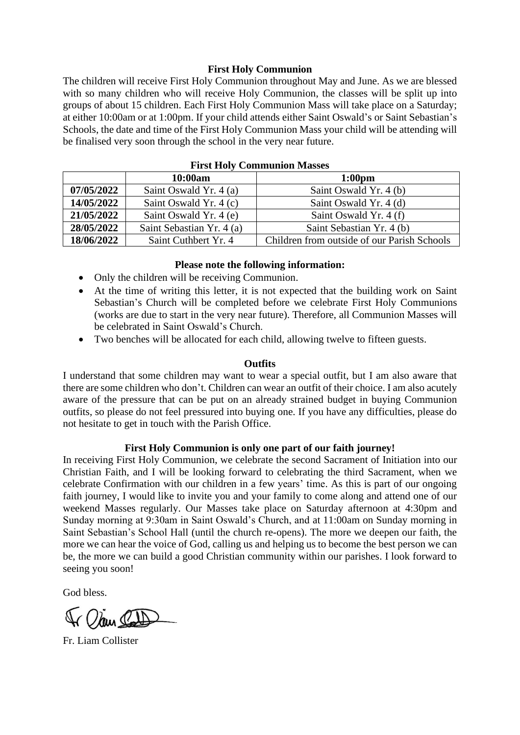### **First Holy Communion**

The children will receive First Holy Communion throughout May and June. As we are blessed with so many children who will receive Holy Communion, the classes will be split up into groups of about 15 children. Each First Holy Communion Mass will take place on a Saturday; at either 10:00am or at 1:00pm. If your child attends either Saint Oswald's or Saint Sebastian's Schools, the date and time of the First Holy Communion Mass your child will be attending will be finalised very soon through the school in the very near future.

| THE HOTY COMMUNION MASSES |                           |                                             |  |  |
|---------------------------|---------------------------|---------------------------------------------|--|--|
|                           | 10:00am                   | 1:00 <sub>pm</sub>                          |  |  |
| 07/05/2022                | Saint Oswald Yr. 4 (a)    | Saint Oswald Yr. 4 (b)                      |  |  |
| 14/05/2022                | Saint Oswald Yr. 4 (c)    | Saint Oswald Yr. 4 (d)                      |  |  |
| 21/05/2022                | Saint Oswald Yr. 4 (e)    | Saint Oswald Yr. 4 (f)                      |  |  |
| 28/05/2022                | Saint Sebastian Yr. 4 (a) | Saint Sebastian Yr. 4 (b)                   |  |  |
| 18/06/2022                | Saint Cuthbert Yr. 4      | Children from outside of our Parish Schools |  |  |

### **First Holy Communion Masses**

#### **Please note the following information:**

- Only the children will be receiving Communion.
- At the time of writing this letter, it is not expected that the building work on Saint Sebastian's Church will be completed before we celebrate First Holy Communions (works are due to start in the very near future). Therefore, all Communion Masses will be celebrated in Saint Oswald's Church.
- Two benches will be allocated for each child, allowing twelve to fifteen guests.

#### **Outfits**

I understand that some children may want to wear a special outfit, but I am also aware that there are some children who don't. Children can wear an outfit of their choice. I am also acutely aware of the pressure that can be put on an already strained budget in buying Communion outfits, so please do not feel pressured into buying one. If you have any difficulties, please do not hesitate to get in touch with the Parish Office.

#### **First Holy Communion is only one part of our faith journey!**

In receiving First Holy Communion, we celebrate the second Sacrament of Initiation into our Christian Faith, and I will be looking forward to celebrating the third Sacrament, when we celebrate Confirmation with our children in a few years' time. As this is part of our ongoing faith journey, I would like to invite you and your family to come along and attend one of our weekend Masses regularly. Our Masses take place on Saturday afternoon at 4:30pm and Sunday morning at 9:30am in Saint Oswald's Church, and at 11:00am on Sunday morning in Saint Sebastian's School Hall (until the church re-opens). The more we deepen our faith, the more we can hear the voice of God, calling us and helping us to become the best person we can be, the more we can build a good Christian community within our parishes. I look forward to seeing you soon!

God bless.

Ir Olay Cat

Fr. Liam Collister